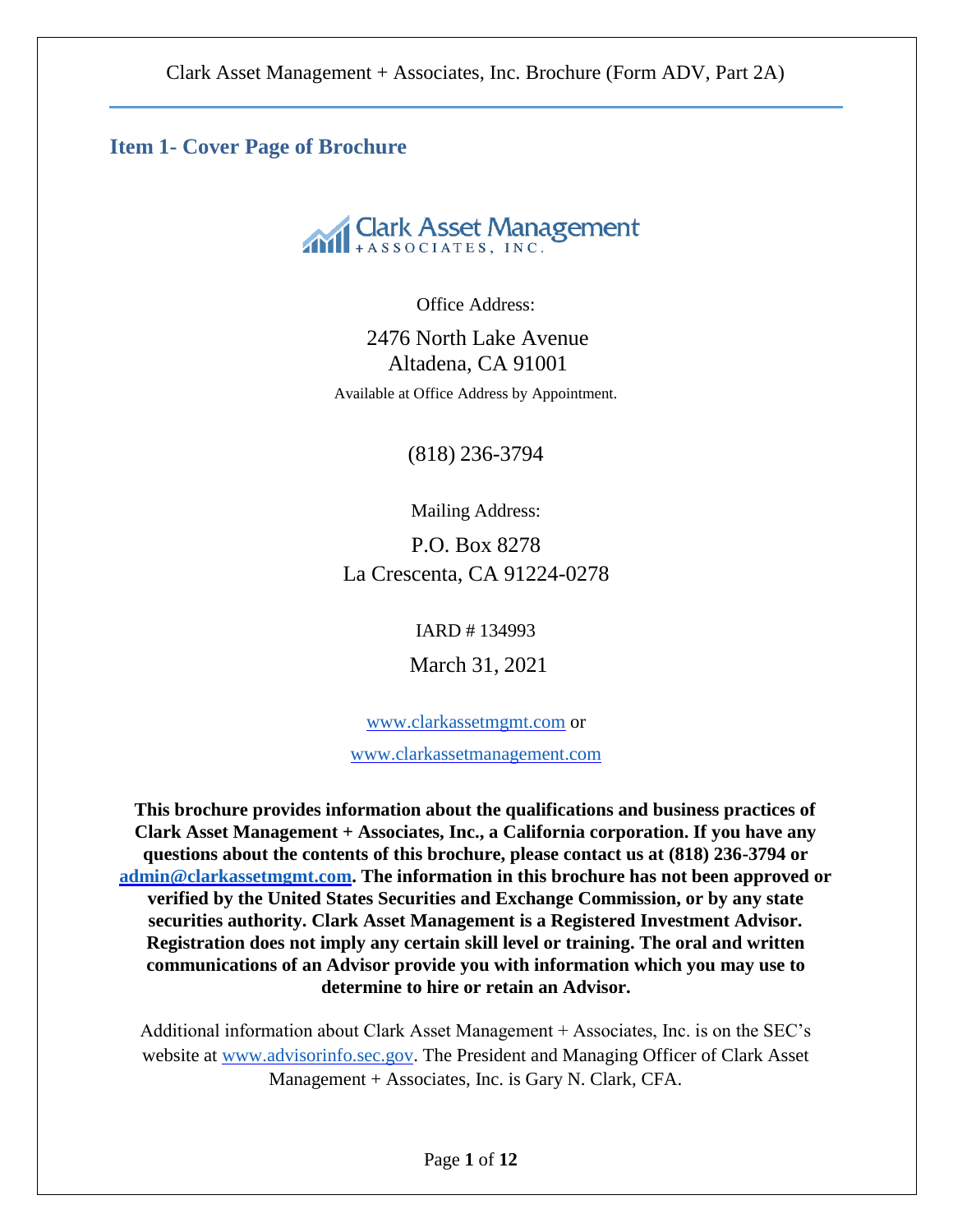**Item 1- Cover Page of Brochure**



Office Address:

2476 North Lake Avenue Altadena, CA 91001 Available at Office Address by Appointment.

(818) 236-3794

Mailing Address:

P.O. Box 8278 La Crescenta, CA 91224-0278

IARD # 134993

March 31, 2021

[www.clarkassetmgmt.com](http://www.clarkassetmgmt.com/) or

[www.clarkassetmanagement.com](http://www.clarkassetmanagement.com/)

**This brochure provides information about the qualifications and business practices of Clark Asset Management + Associates, Inc., a California corporation. If you have any questions about the contents of this brochure, please contact us at (818) 236-3794 or [admin@clarkassetmgmt.com.](mailto:admin@clarkassetmgmt.com) The information in this brochure has not been approved or verified by the United States Securities and Exchange Commission, or by any state securities authority. Clark Asset Management is a Registered Investment Advisor. Registration does not imply any certain skill level or training. The oral and written communications of an Advisor provide you with information which you may use to determine to hire or retain an Advisor.**

Additional information about Clark Asset Management + Associates, Inc. is on the SEC's website at [www.advisorinfo.sec.gov.](http://www.advisorinfo.sec.gov/) The President and Managing Officer of Clark Asset Management + Associates, Inc. is Gary N. Clark, CFA.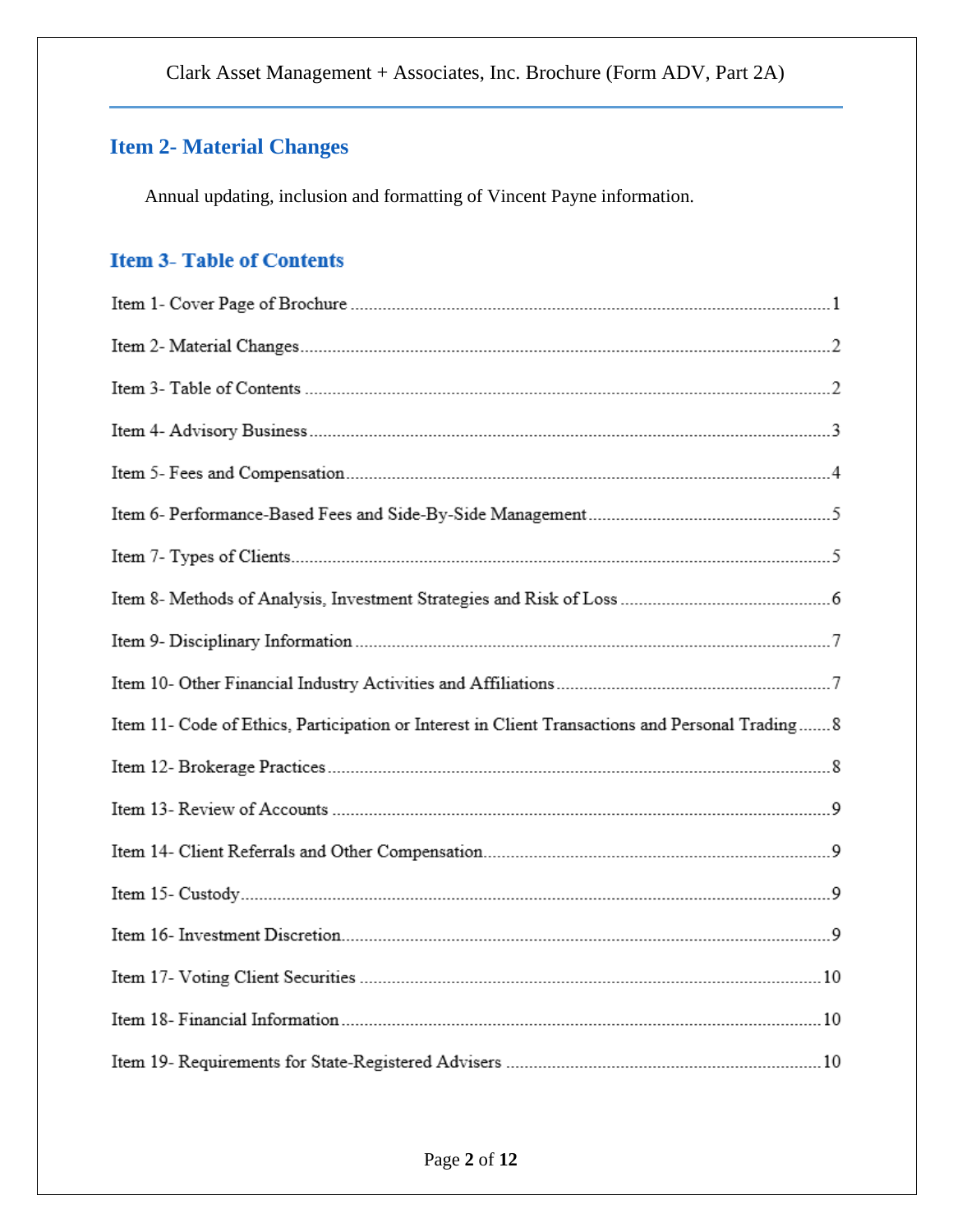# **Item 2- Material Changes**

Annual updating, inclusion and formatting of Vincent Payne information.

# **Item 3- Table of Contents**

| Item 11- Code of Ethics, Participation or Interest in Client Transactions and Personal Trading 8 |  |
|--------------------------------------------------------------------------------------------------|--|
|                                                                                                  |  |
|                                                                                                  |  |
|                                                                                                  |  |
|                                                                                                  |  |
|                                                                                                  |  |
|                                                                                                  |  |
|                                                                                                  |  |
|                                                                                                  |  |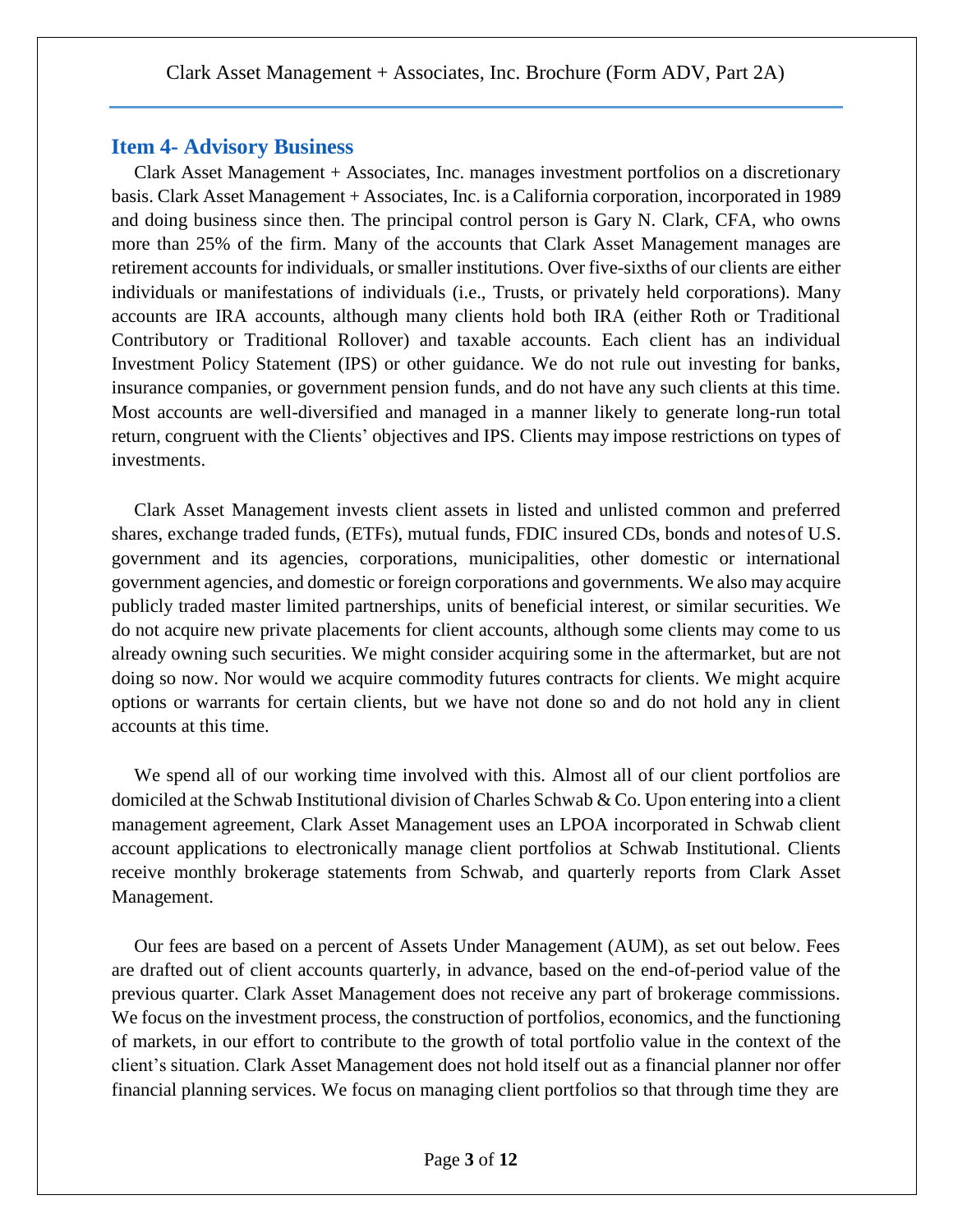## **Item 4- Advisory Business**

Clark Asset Management + Associates, Inc. manages investment portfolios on a discretionary basis. Clark Asset Management + Associates, Inc. is a California corporation, incorporated in 1989 and doing business since then. The principal control person is Gary N. Clark, CFA, who owns more than 25% of the firm. Many of the accounts that Clark Asset Management manages are retirement accounts for individuals, or smaller institutions. Over five-sixths of our clients are either individuals or manifestations of individuals (i.e., Trusts, or privately held corporations). Many accounts are IRA accounts, although many clients hold both IRA (either Roth or Traditional Contributory or Traditional Rollover) and taxable accounts. Each client has an individual Investment Policy Statement (IPS) or other guidance. We do not rule out investing for banks, insurance companies, or government pension funds, and do not have any such clients at this time. Most accounts are well-diversified and managed in a manner likely to generate long-run total return, congruent with the Clients' objectives and IPS. Clients may impose restrictions on types of investments.

Clark Asset Management invests client assets in listed and unlisted common and preferred shares, exchange traded funds, (ETFs), mutual funds, FDIC insured CDs, bonds and notesof U.S. government and its agencies, corporations, municipalities, other domestic or international government agencies, and domestic or foreign corporations and governments. We also may acquire publicly traded master limited partnerships, units of beneficial interest, or similar securities. We do not acquire new private placements for client accounts, although some clients may come to us already owning such securities. We might consider acquiring some in the aftermarket, but are not doing so now. Nor would we acquire commodity futures contracts for clients. We might acquire options or warrants for certain clients, but we have not done so and do not hold any in client accounts at this time.

We spend all of our working time involved with this. Almost all of our client portfolios are domiciled at the Schwab Institutional division of Charles Schwab & Co. Upon entering into a client management agreement, Clark Asset Management uses an LPOA incorporated in Schwab client account applications to electronically manage client portfolios at Schwab Institutional. Clients receive monthly brokerage statements from Schwab, and quarterly reports from Clark Asset Management.

Our fees are based on a percent of Assets Under Management (AUM), as set out below. Fees are drafted out of client accounts quarterly, in advance, based on the end-of-period value of the previous quarter. Clark Asset Management does not receive any part of brokerage commissions. We focus on the investment process, the construction of portfolios, economics, and the functioning of markets, in our effort to contribute to the growth of total portfolio value in the context of the client's situation. Clark Asset Management does not hold itself out as a financial planner nor offer financial planning services. We focus on managing client portfolios so that through time they are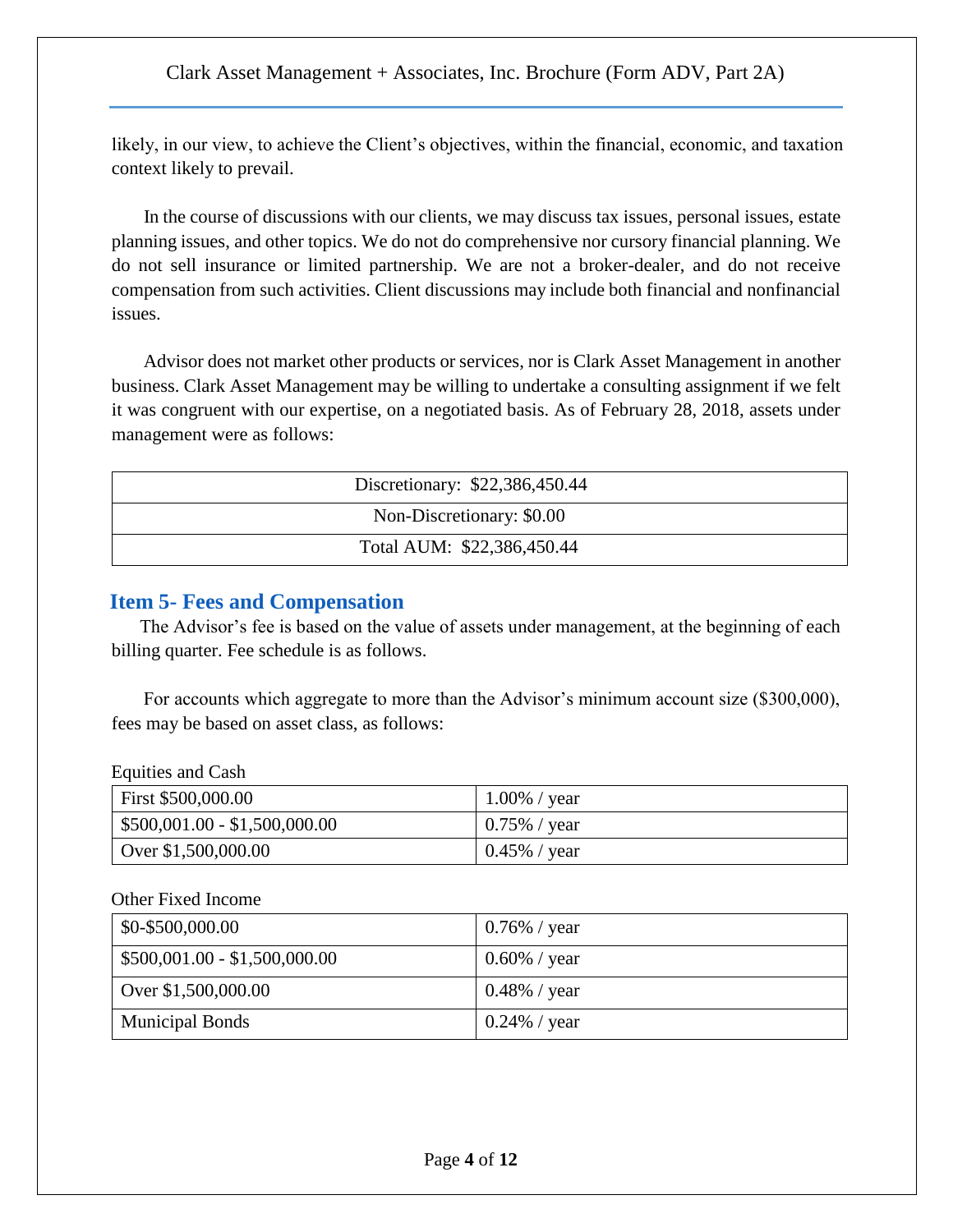likely, in our view, to achieve the Client's objectives, within the financial, economic, and taxation context likely to prevail.

In the course of discussions with our clients, we may discuss tax issues, personal issues, estate planning issues, and other topics. We do not do comprehensive nor cursory financial planning. We do not sell insurance or limited partnership. We are not a broker-dealer, and do not receive compensation from such activities. Client discussions may include both financial and nonfinancial issues.

Advisor does not market other products or services, nor is Clark Asset Management in another business. Clark Asset Management may be willing to undertake a consulting assignment if we felt it was congruent with our expertise, on a negotiated basis. As of February 28, 2018, assets under management were as follows:

| Discretionary: \$22,386,450.44 |  |  |
|--------------------------------|--|--|
| Non-Discretionary: \$0.00      |  |  |
| Total AUM: \$22,386,450.44     |  |  |

## **Item 5- Fees and Compensation**

The Advisor's fee is based on the value of assets under management, at the beginning of each billing quarter. Fee schedule is as follows.

For accounts which aggregate to more than the Advisor's minimum account size (\$300,000), fees may be based on asset class, as follows:

#### Equities and Cash

| First \$500,000.00                    | $1.00\%$ / year |
|---------------------------------------|-----------------|
| $\vert$ \$500,001.00 - \$1,500,000.00 | $0.75\%$ / year |
| Over $$1,500,000.00$                  | $0.45\%$ / year |

### Other Fixed Income

| \$0-\$500,000.00              | $0.76\%$ / year |
|-------------------------------|-----------------|
| $$500,001.00 - $1,500,000.00$ | $0.60\%$ / year |
| Over \$1,500,000.00           | $0.48\%$ / year |
| <b>Municipal Bonds</b>        | 0.24% / year    |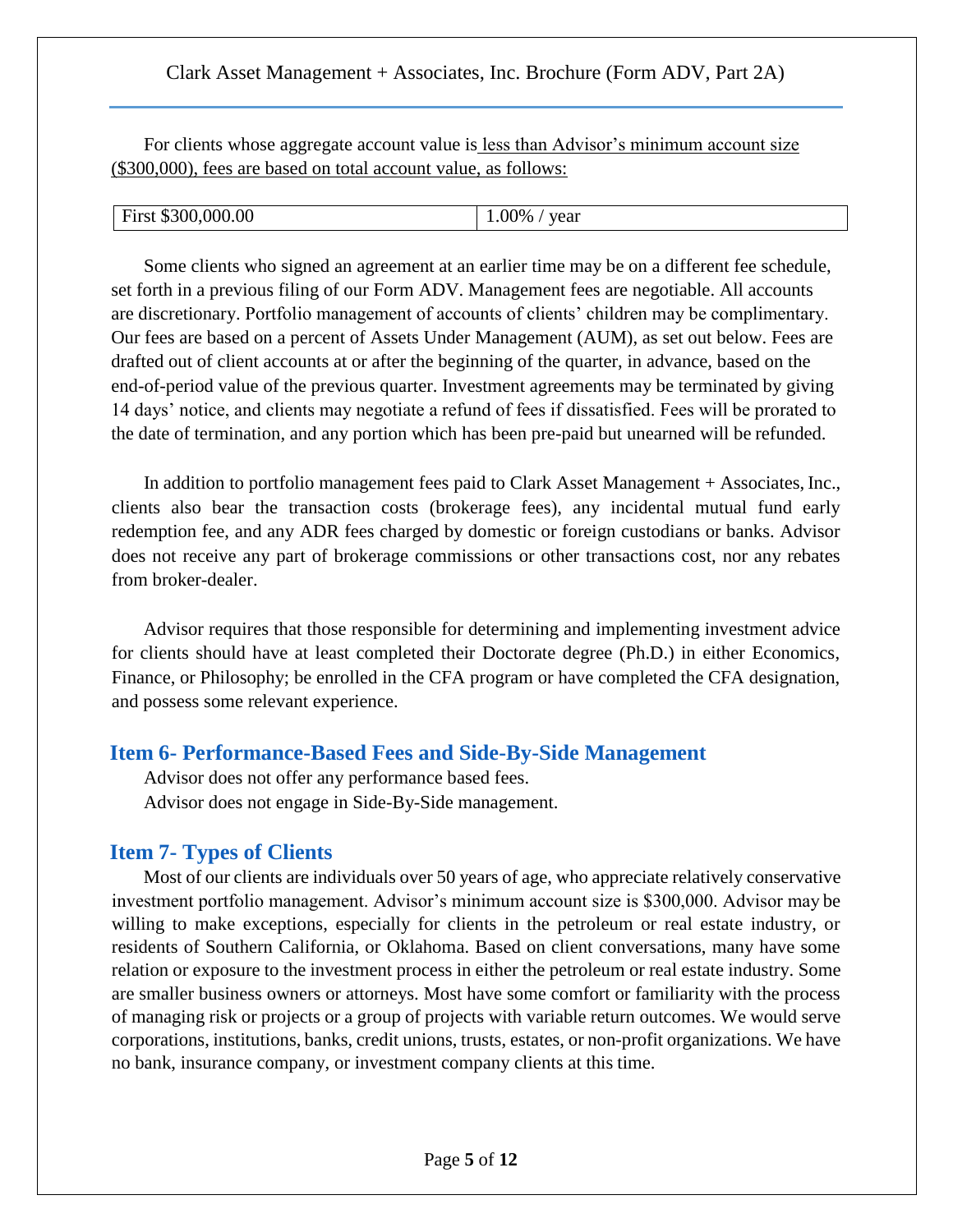For clients whose aggregate account value is less than Advisor's minimum account size (\$300,000), fees are based on total account value, as follows:

| First \$300,000.00 | $.00\%$<br>year |
|--------------------|-----------------|
|--------------------|-----------------|

Some clients who signed an agreement at an earlier time may be on a different fee schedule, set forth in a previous filing of our Form ADV. Management fees are negotiable. All accounts are discretionary. Portfolio management of accounts of clients' children may be complimentary. Our fees are based on a percent of Assets Under Management (AUM), as set out below. Fees are drafted out of client accounts at or after the beginning of the quarter, in advance, based on the end-of-period value of the previous quarter. Investment agreements may be terminated by giving 14 days' notice, and clients may negotiate a refund of fees if dissatisfied. Fees will be prorated to the date of termination, and any portion which has been pre-paid but unearned will be refunded.

In addition to portfolio management fees paid to Clark Asset Management + Associates, Inc., clients also bear the transaction costs (brokerage fees), any incidental mutual fund early redemption fee, and any ADR fees charged by domestic or foreign custodians or banks. Advisor does not receive any part of brokerage commissions or other transactions cost, nor any rebates from broker-dealer.

Advisor requires that those responsible for determining and implementing investment advice for clients should have at least completed their Doctorate degree (Ph.D.) in either Economics, Finance, or Philosophy; be enrolled in the CFA program or have completed the CFA designation, and possess some relevant experience.

### **Item 6- Performance-Based Fees and Side-By-Side Management**

Advisor does not offer any performance based fees. Advisor does not engage in Side-By-Side management.

## **Item 7- Types of Clients**

Most of our clients are individuals over 50 years of age, who appreciate relatively conservative investment portfolio management. Advisor's minimum account size is \$300,000. Advisor may be willing to make exceptions, especially for clients in the petroleum or real estate industry, or residents of Southern California, or Oklahoma. Based on client conversations, many have some relation or exposure to the investment process in either the petroleum or real estate industry. Some are smaller business owners or attorneys. Most have some comfort or familiarity with the process of managing risk or projects or a group of projects with variable return outcomes. We would serve corporations, institutions, banks, credit unions, trusts, estates, or non-profit organizations. We have no bank, insurance company, or investment company clients at this time.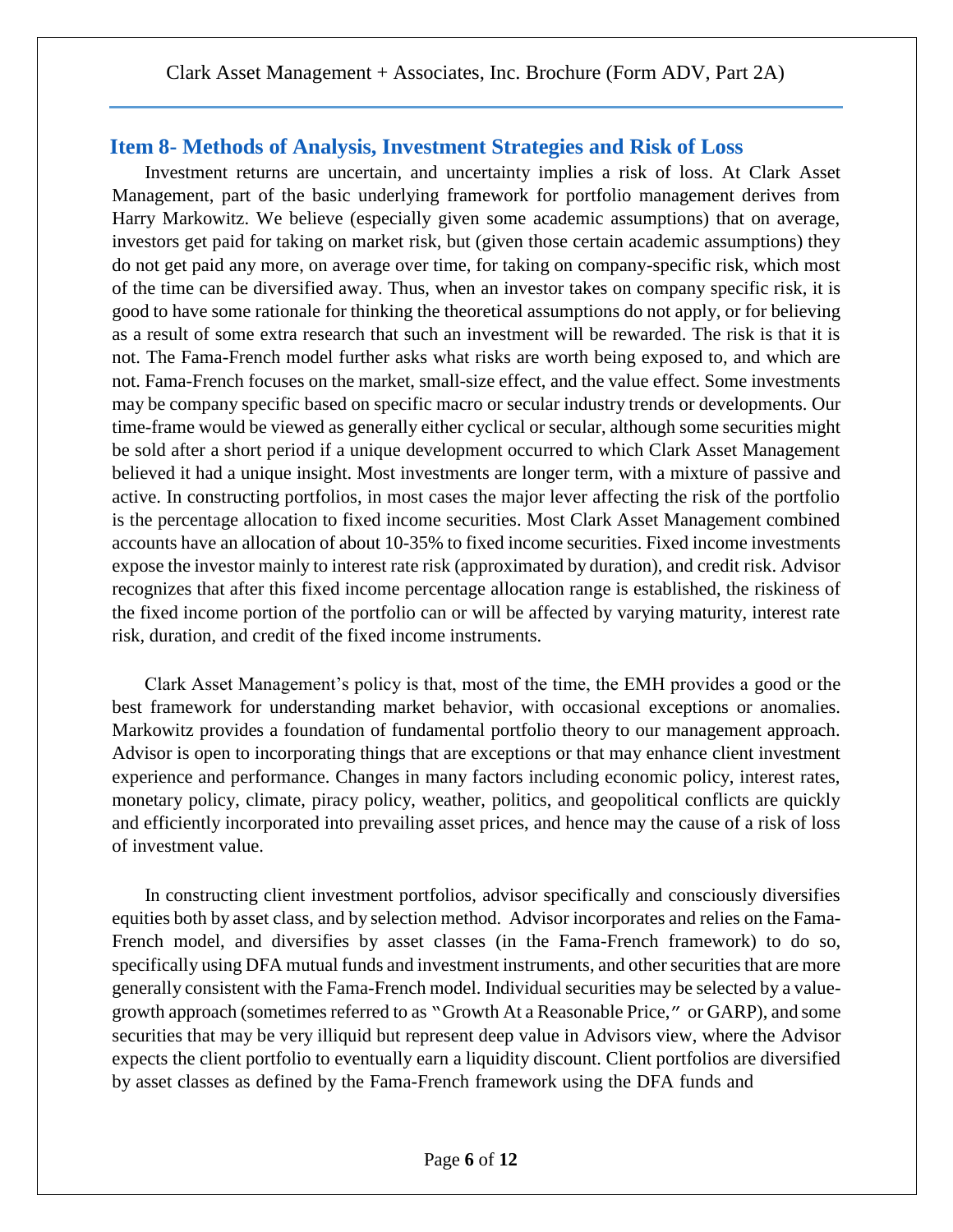## **Item 8- Methods of Analysis, Investment Strategies and Risk of Loss**

Investment returns are uncertain, and uncertainty implies a risk of loss. At Clark Asset Management, part of the basic underlying framework for portfolio management derives from Harry Markowitz. We believe (especially given some academic assumptions) that on average, investors get paid for taking on market risk, but (given those certain academic assumptions) they do not get paid any more, on average over time, for taking on company-specific risk, which most of the time can be diversified away. Thus, when an investor takes on company specific risk, it is good to have some rationale for thinking the theoretical assumptions do not apply, or for believing as a result of some extra research that such an investment will be rewarded. The risk is that it is not. The Fama-French model further asks what risks are worth being exposed to, and which are not. Fama-French focuses on the market, small-size effect, and the value effect. Some investments may be company specific based on specific macro or secular industry trends or developments. Our time-frame would be viewed as generally either cyclical or secular, although some securities might be sold after a short period if a unique development occurred to which Clark Asset Management believed it had a unique insight. Most investments are longer term, with a mixture of passive and active. In constructing portfolios, in most cases the major lever affecting the risk of the portfolio is the percentage allocation to fixed income securities. Most Clark Asset Management combined accounts have an allocation of about 10-35% to fixed income securities. Fixed income investments expose the investor mainly to interest rate risk (approximated by duration), and credit risk. Advisor recognizes that after this fixed income percentage allocation range is established, the riskiness of the fixed income portion of the portfolio can or will be affected by varying maturity, interest rate risk, duration, and credit of the fixed income instruments.

Clark Asset Management's policy is that, most of the time, the EMH provides a good or the best framework for understanding market behavior, with occasional exceptions or anomalies. Markowitz provides a foundation of fundamental portfolio theory to our management approach. Advisor is open to incorporating things that are exceptions or that may enhance client investment experience and performance. Changes in many factors including economic policy, interest rates, monetary policy, climate, piracy policy, weather, politics, and geopolitical conflicts are quickly and efficiently incorporated into prevailing asset prices, and hence may the cause of a risk of loss of investment value.

In constructing client investment portfolios, advisor specifically and consciously diversifies equities both by asset class, and by selection method. Advisor incorporates and relies on the Fama-French model, and diversifies by asset classes (in the Fama-French framework) to do so, specifically using DFA mutual funds and investment instruments, and other securities that are more generally consistent with the Fama-French model. Individual securities may be selected by a valuegrowth approach (sometimes referred to as "Growth At a Reasonable Price," or GARP), and some securities that may be very illiquid but represent deep value in Advisors view, where the Advisor expects the client portfolio to eventually earn a liquidity discount. Client portfolios are diversified by asset classes as defined by the Fama-French framework using the DFA funds and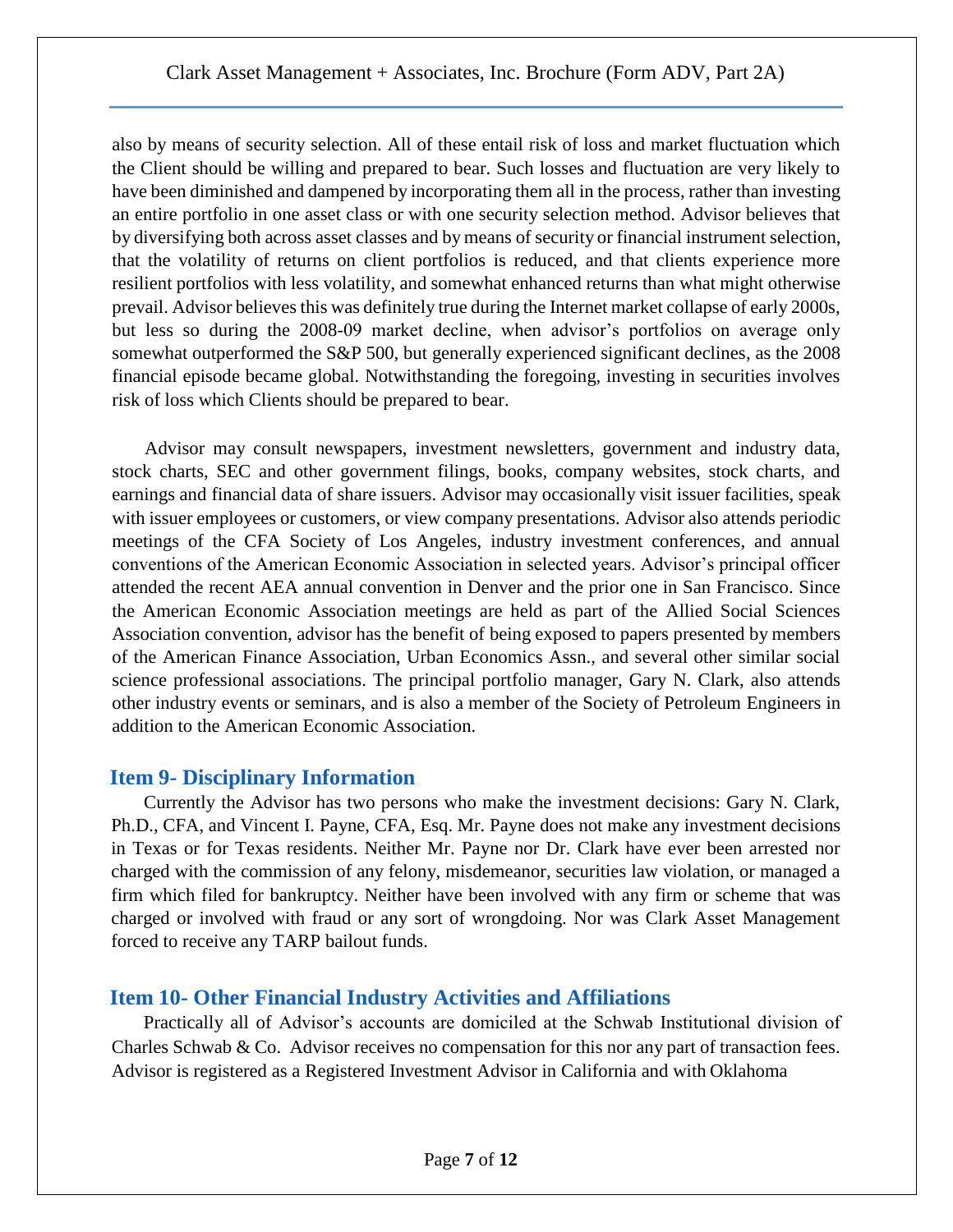also by means of security selection. All of these entail risk of loss and market fluctuation which the Client should be willing and prepared to bear. Such losses and fluctuation are very likely to have been diminished and dampened by incorporating them all in the process, rather than investing an entire portfolio in one asset class or with one security selection method. Advisor believes that by diversifying both across asset classes and by means of security or financial instrument selection, that the volatility of returns on client portfolios is reduced, and that clients experience more resilient portfolios with less volatility, and somewhat enhanced returns than what might otherwise prevail. Advisor believes this was definitely true during the Internet market collapse of early 2000s, but less so during the 2008-09 market decline, when advisor's portfolios on average only somewhat outperformed the S&P 500, but generally experienced significant declines, as the 2008 financial episode became global. Notwithstanding the foregoing, investing in securities involves risk of loss which Clients should be prepared to bear.

Advisor may consult newspapers, investment newsletters, government and industry data, stock charts, SEC and other government filings, books, company websites, stock charts, and earnings and financial data of share issuers. Advisor may occasionally visit issuer facilities, speak with issuer employees or customers, or view company presentations. Advisor also attends periodic meetings of the CFA Society of Los Angeles, industry investment conferences, and annual conventions of the American Economic Association in selected years. Advisor's principal officer attended the recent AEA annual convention in Denver and the prior one in San Francisco. Since the American Economic Association meetings are held as part of the Allied Social Sciences Association convention, advisor has the benefit of being exposed to papers presented by members of the American Finance Association, Urban Economics Assn., and several other similar social science professional associations. The principal portfolio manager, Gary N. Clark, also attends other industry events or seminars, and is also a member of the Society of Petroleum Engineers in addition to the American Economic Association.

## **Item 9- Disciplinary Information**

Currently the Advisor has two persons who make the investment decisions: Gary N. Clark, Ph.D., CFA, and Vincent I. Payne, CFA, Esq. Mr. Payne does not make any investment decisions in Texas or for Texas residents. Neither Mr. Payne nor Dr. Clark have ever been arrested nor charged with the commission of any felony, misdemeanor, securities law violation, or managed a firm which filed for bankruptcy. Neither have been involved with any firm or scheme that was charged or involved with fraud or any sort of wrongdoing. Nor was Clark Asset Management forced to receive any TARP bailout funds.

## **Item 10- Other Financial Industry Activities and Affiliations**

Practically all of Advisor's accounts are domiciled at the Schwab Institutional division of Charles Schwab & Co. Advisor receives no compensation for this nor any part of transaction fees. Advisor is registered as a Registered Investment Advisor in California and with Oklahoma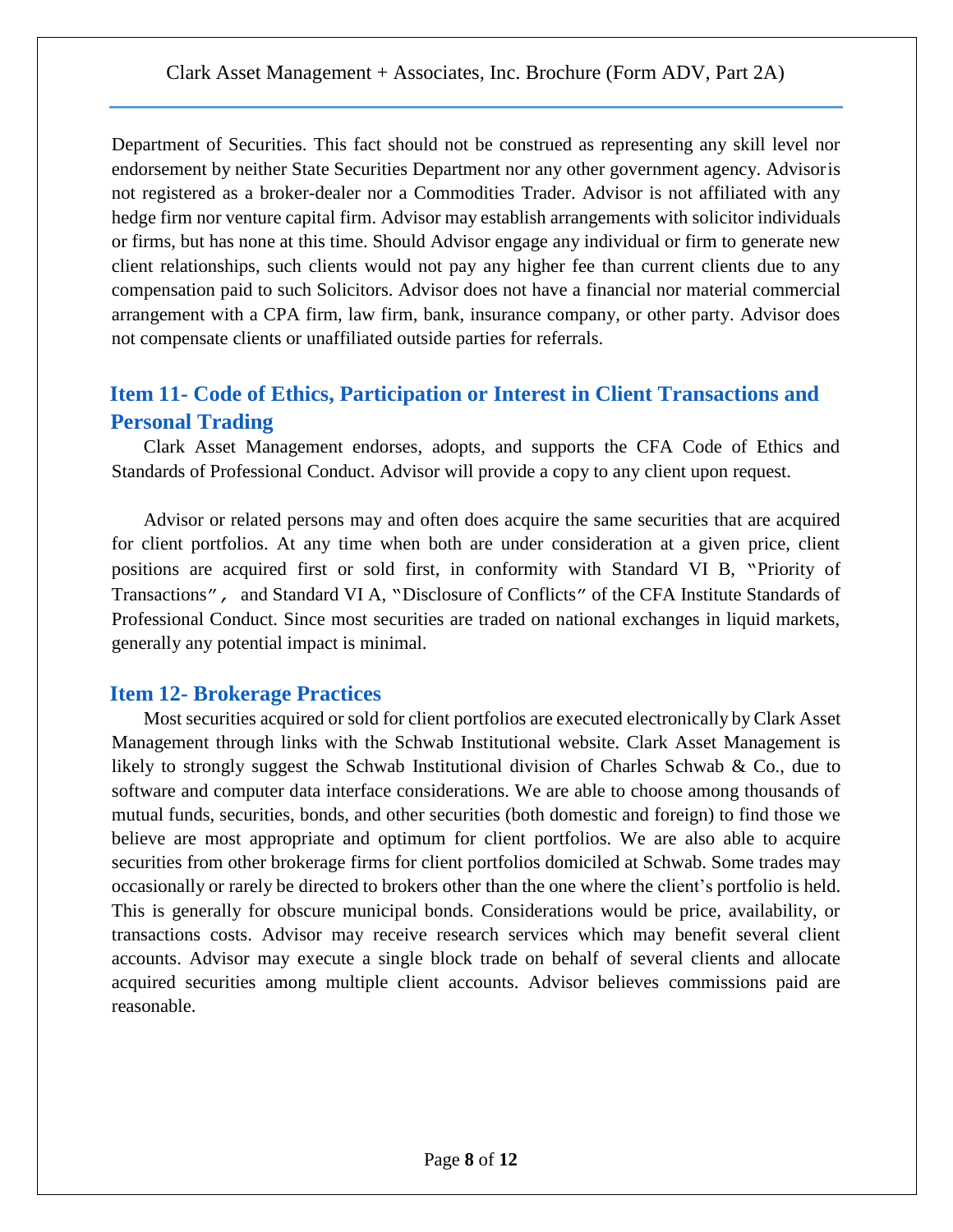Department of Securities. This fact should not be construed as representing any skill level nor endorsement by neither State Securities Department nor any other government agency. Advisoris not registered as a broker-dealer nor a Commodities Trader. Advisor is not affiliated with any hedge firm nor venture capital firm. Advisor may establish arrangements with solicitor individuals or firms, but has none at this time. Should Advisor engage any individual or firm to generate new client relationships, such clients would not pay any higher fee than current clients due to any compensation paid to such Solicitors. Advisor does not have a financial nor material commercial arrangement with a CPA firm, law firm, bank, insurance company, or other party. Advisor does not compensate clients or unaffiliated outside parties for referrals.

# **Item 11- Code of Ethics, Participation or Interest in Client Transactions and Personal Trading**

Clark Asset Management endorses, adopts, and supports the CFA Code of Ethics and Standards of Professional Conduct. Advisor will provide a copy to any client upon request.

Advisor or related persons may and often does acquire the same securities that are acquired for client portfolios. At any time when both are under consideration at a given price, client positions are acquired first or sold first, in conformity with Standard VI B, "Priority of Transactions"*,* and Standard VI A, "Disclosure of Conflicts" of the CFA Institute Standards of Professional Conduct. Since most securities are traded on national exchanges in liquid markets, generally any potential impact is minimal.

## **Item 12- Brokerage Practices**

Most securities acquired or sold for client portfolios are executed electronically by Clark Asset Management through links with the Schwab Institutional website. Clark Asset Management is likely to strongly suggest the Schwab Institutional division of Charles Schwab & Co., due to software and computer data interface considerations. We are able to choose among thousands of mutual funds, securities, bonds, and other securities (both domestic and foreign) to find those we believe are most appropriate and optimum for client portfolios. We are also able to acquire securities from other brokerage firms for client portfolios domiciled at Schwab. Some trades may occasionally or rarely be directed to brokers other than the one where the client's portfolio is held. This is generally for obscure municipal bonds. Considerations would be price, availability, or transactions costs. Advisor may receive research services which may benefit several client accounts. Advisor may execute a single block trade on behalf of several clients and allocate acquired securities among multiple client accounts. Advisor believes commissions paid are reasonable.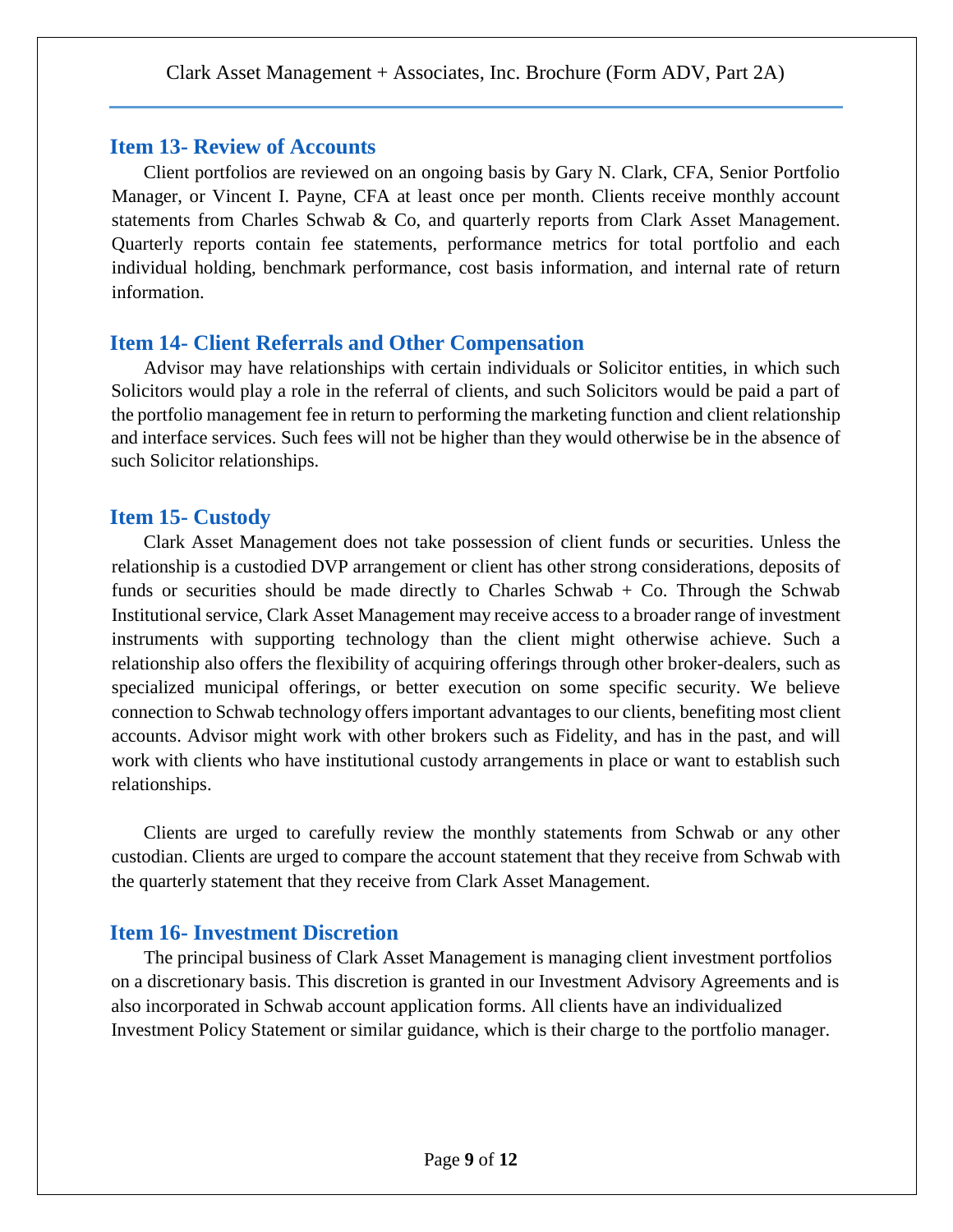#### **Item 13- Review of Accounts**

Client portfolios are reviewed on an ongoing basis by Gary N. Clark, CFA, Senior Portfolio Manager, or Vincent I. Payne, CFA at least once per month. Clients receive monthly account statements from Charles Schwab & Co, and quarterly reports from Clark Asset Management. Quarterly reports contain fee statements, performance metrics for total portfolio and each individual holding, benchmark performance, cost basis information, and internal rate of return information.

## **Item 14- Client Referrals and Other Compensation**

Advisor may have relationships with certain individuals or Solicitor entities, in which such Solicitors would play a role in the referral of clients, and such Solicitors would be paid a part of the portfolio management fee in return to performing the marketing function and client relationship and interface services. Such fees will not be higher than they would otherwise be in the absence of such Solicitor relationships.

## **Item 15- Custody**

Clark Asset Management does not take possession of client funds or securities. Unless the relationship is a custodied DVP arrangement or client has other strong considerations, deposits of funds or securities should be made directly to Charles Schwab  $+$  Co. Through the Schwab Institutional service, Clark Asset Management may receive access to a broader range of investment instruments with supporting technology than the client might otherwise achieve. Such a relationship also offers the flexibility of acquiring offerings through other broker-dealers, such as specialized municipal offerings, or better execution on some specific security. We believe connection to Schwab technology offers important advantages to our clients, benefiting most client accounts. Advisor might work with other brokers such as Fidelity, and has in the past, and will work with clients who have institutional custody arrangements in place or want to establish such relationships.

Clients are urged to carefully review the monthly statements from Schwab or any other custodian. Clients are urged to compare the account statement that they receive from Schwab with the quarterly statement that they receive from Clark Asset Management.

## **Item 16- Investment Discretion**

The principal business of Clark Asset Management is managing client investment portfolios on a discretionary basis. This discretion is granted in our Investment Advisory Agreements and is also incorporated in Schwab account application forms. All clients have an individualized Investment Policy Statement or similar guidance, which is their charge to the portfolio manager.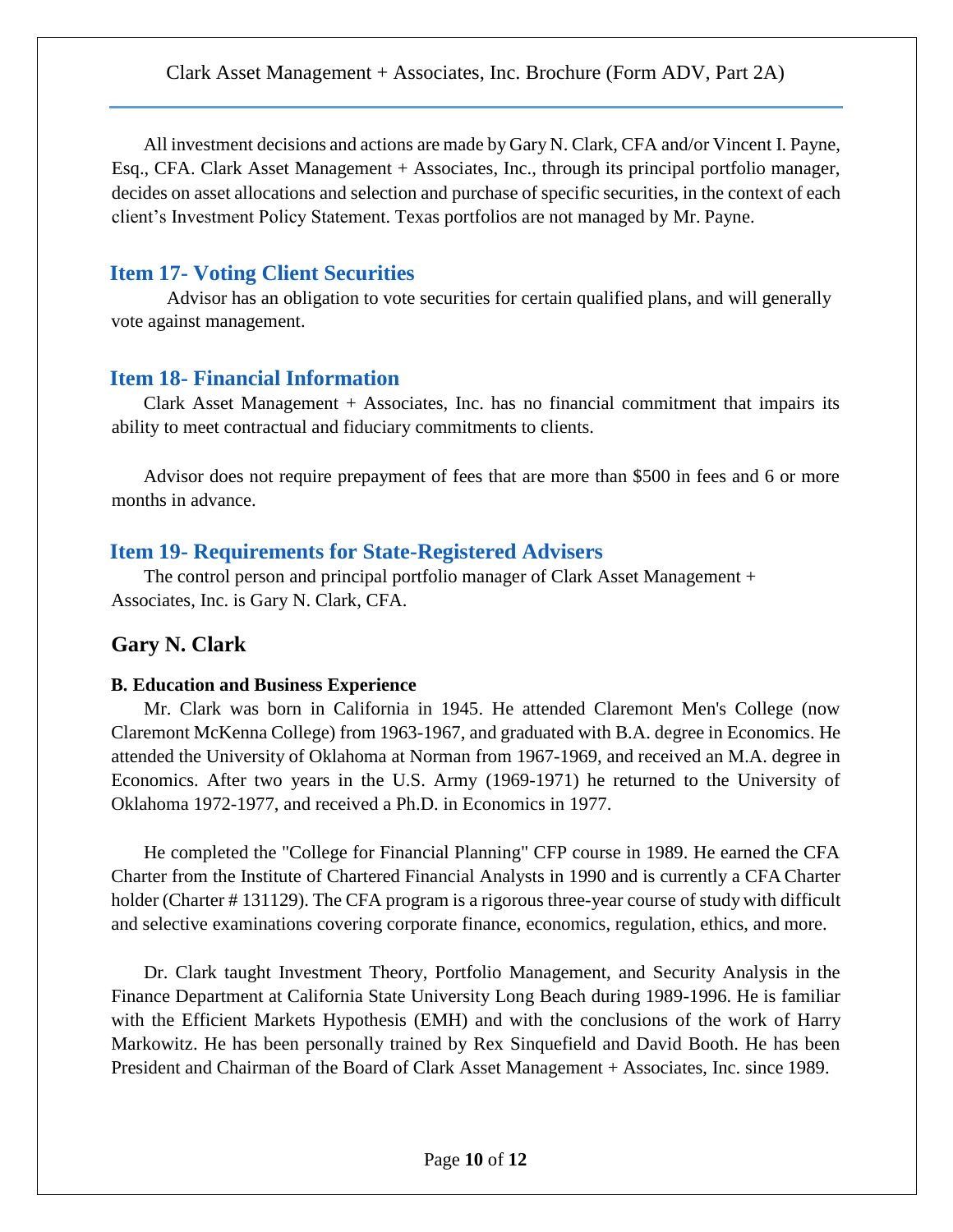All investment decisions and actions are made by Gary N. Clark, CFA and/or Vincent I. Payne, Esq., CFA. Clark Asset Management + Associates, Inc., through its principal portfolio manager, decides on asset allocations and selection and purchase of specific securities, in the context of each client's Investment Policy Statement. Texas portfolios are not managed by Mr. Payne.

## **Item 17- Voting Client Securities**

Advisor has an obligation to vote securities for certain qualified plans, and will generally vote against management.

## **Item 18- Financial Information**

Clark Asset Management + Associates, Inc. has no financial commitment that impairs its ability to meet contractual and fiduciary commitments to clients.

Advisor does not require prepayment of fees that are more than \$500 in fees and 6 or more months in advance.

## **Item 19- Requirements for State-Registered Advisers**

The control person and principal portfolio manager of Clark Asset Management + Associates, Inc. is Gary N. Clark, CFA.

## **Gary N. Clark**

#### **B. Education and Business Experience**

Mr. Clark was born in California in 1945. He attended Claremont Men's College (now Claremont McKenna College) from 1963-1967, and graduated with B.A. degree in Economics. He attended the University of Oklahoma at Norman from 1967-1969, and received an M.A. degree in Economics. After two years in the U.S. Army (1969-1971) he returned to the University of Oklahoma 1972-1977, and received a Ph.D. in Economics in 1977.

He completed the "College for Financial Planning" CFP course in 1989. He earned the CFA Charter from the Institute of Chartered Financial Analysts in 1990 and is currently a CFA Charter holder (Charter #131129). The CFA program is a rigorous three-year course of study with difficult and selective examinations covering corporate finance, economics, regulation, ethics, and more.

Dr. Clark taught Investment Theory, Portfolio Management, and Security Analysis in the Finance Department at California State University Long Beach during 1989-1996. He is familiar with the Efficient Markets Hypothesis (EMH) and with the conclusions of the work of Harry Markowitz. He has been personally trained by Rex Sinquefield and David Booth. He has been President and Chairman of the Board of Clark Asset Management + Associates, Inc. since 1989.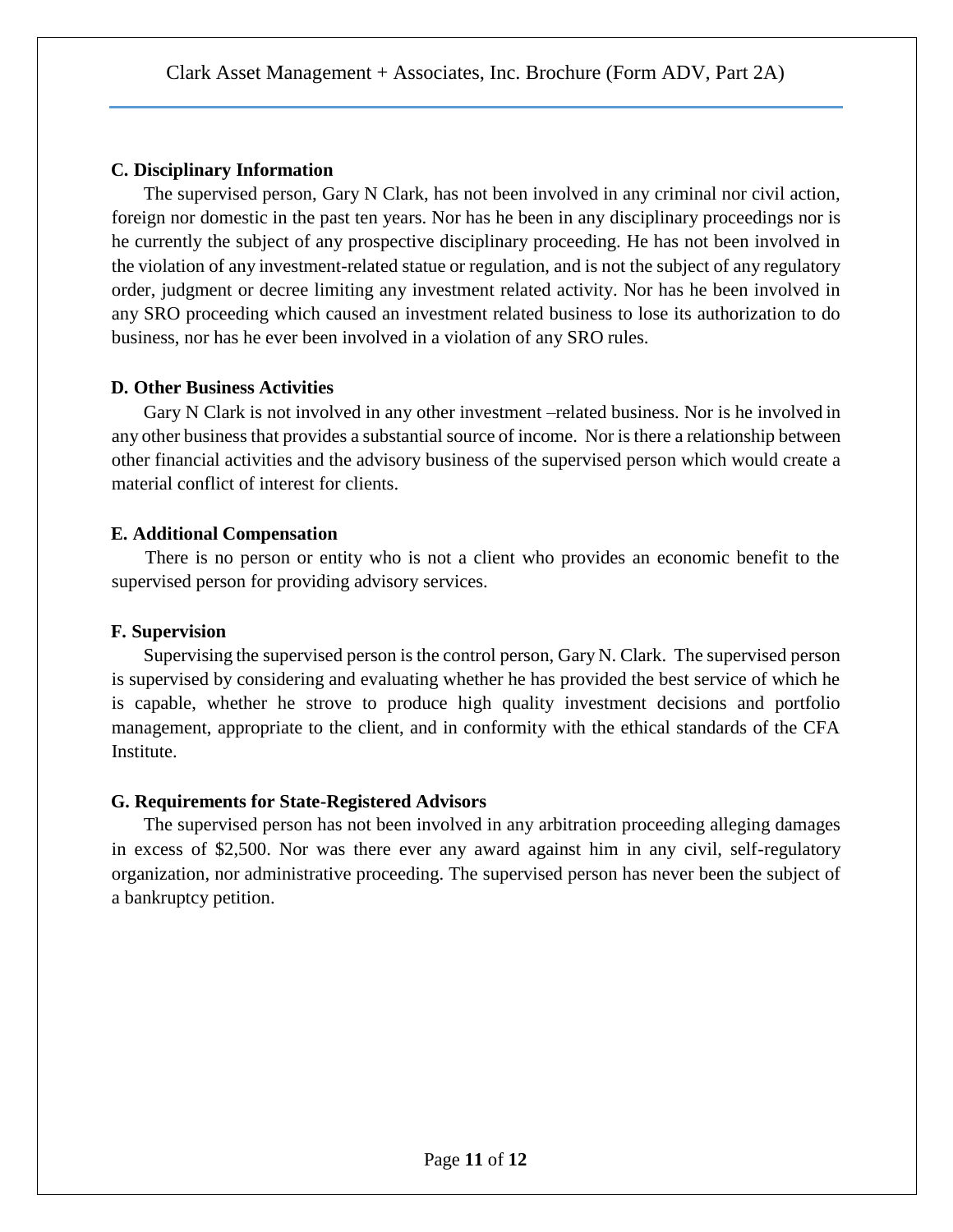### **C. Disciplinary Information**

The supervised person, Gary N Clark, has not been involved in any criminal nor civil action, foreign nor domestic in the past ten years. Nor has he been in any disciplinary proceedings nor is he currently the subject of any prospective disciplinary proceeding. He has not been involved in the violation of any investment-related statue or regulation, and is not the subject of any regulatory order, judgment or decree limiting any investment related activity. Nor has he been involved in any SRO proceeding which caused an investment related business to lose its authorization to do business, nor has he ever been involved in a violation of any SRO rules.

### **D. Other Business Activities**

Gary N Clark is not involved in any other investment –related business. Nor is he involved in any other business that provides a substantial source of income. Nor is there a relationship between other financial activities and the advisory business of the supervised person which would create a material conflict of interest for clients.

### **E. Additional Compensation**

There is no person or entity who is not a client who provides an economic benefit to the supervised person for providing advisory services.

### **F. Supervision**

Supervising the supervised person is the control person, Gary N. Clark. The supervised person is supervised by considering and evaluating whether he has provided the best service of which he is capable, whether he strove to produce high quality investment decisions and portfolio management, appropriate to the client, and in conformity with the ethical standards of the CFA Institute.

### **G. Requirements for State-Registered Advisors**

The supervised person has not been involved in any arbitration proceeding alleging damages in excess of \$2,500. Nor was there ever any award against him in any civil, self-regulatory organization, nor administrative proceeding. The supervised person has never been the subject of a bankruptcy petition.